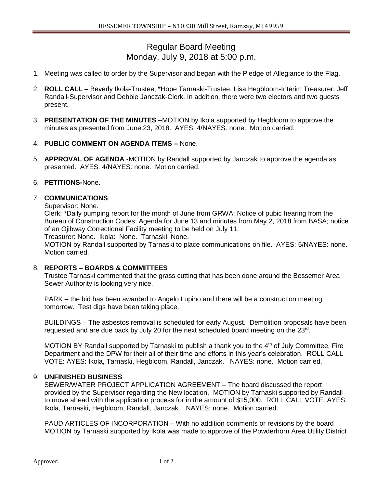# Regular Board Meeting Monday, July 9, 2018 at 5:00 p.m.

- 1. Meeting was called to order by the Supervisor and began with the Pledge of Allegiance to the Flag.
- 2. **ROLL CALL –** Beverly Ikola-Trustee, \*Hope Tarnaski-Trustee, Lisa Hegbloom-Interim Treasurer, Jeff Randall-Supervisor and Debbie Janczak-Clerk. In addition, there were two electors and two guests present.
- 3. **PRESENTATION OF THE MINUTES –**MOTION by Ikola supported by Hegbloom to approve the minutes as presented from June 23, 2018. AYES: 4/NAYES: none. Motion carried.
- 4. **PUBLIC COMMENT ON AGENDA ITEMS –** None.
- 5. **APPROVAL OF AGENDA** -MOTION by Randall supported by Janczak to approve the agenda as presented. AYES: 4/NAYES: none. Motion carried.

## 6. **PETITIONS-**None.

### 7. **COMMUNICATIONS**:

Supervisor: None.

Clerk: \*Daily pumping report for the month of June from GRWA; Notice of pubic hearing from the Bureau of Construction Codes; Agenda for June 13 and minutes from May 2, 2018 from BASA; notice of an Ojibway Correctional Facility meeting to be held on July 11.

Treasurer: None. Ikola: None. Tarnaski: None.

MOTION by Randall supported by Tarnaski to place communications on file. AYES: 5/NAYES: none. Motion carried.

### 8. **REPORTS – BOARDS & COMMITTEES**

Trustee Tarnaski commented that the grass cutting that has been done around the Bessemer Area Sewer Authority is looking very nice.

PARK – the bid has been awarded to Angelo Lupino and there will be a construction meeting tomorrow. Test digs have been taking place.

BUILDINGS – The asbestos removal is scheduled for early August. Demolition proposals have been requested and are due back by July 20 for the next scheduled board meeting on the 23rd.

MOTION BY Randall supported by Tarnaski to publish a thank you to the 4<sup>th</sup> of July Committee, Fire Department and the DPW for their all of their time and efforts in this year's celebration. ROLL CALL VOTE: AYES: Ikola, Tarnaski, Hegbloom, Randall, Janczak. NAYES: none. Motion carried.

### 9. **UNFINISHED BUSINESS**

SEWER/WATER PROJECT APPLICATION AGREEMENT – The board discussed the report provided by the Supervisor regarding the New location. MOTION by Tarnaski supported by Randall to move ahead with the application process for in the amount of \$15,000. ROLL CALL VOTE: AYES: Ikola, Tarnaski, Hegbloom, Randall, Janczak. NAYES: none. Motion carried.

PAUD ARTICLES OF INCORPORATION – With no addition comments or revisions by the board MOTION by Tarnaski supported by Ikola was made to approve of the Powderhorn Area Utility District